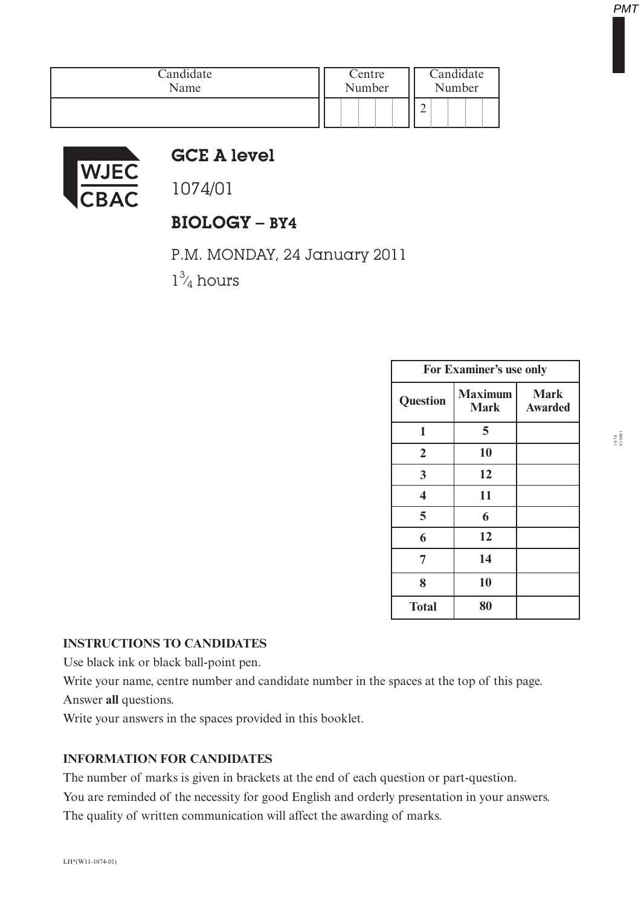| Candidate<br>Name | Candidate<br>Centre<br>Number<br>Number |   |
|-------------------|-----------------------------------------|---|
|                   |                                         | ∸ |



### GCE A level

1074/01

### BIOLOGY – BY4

P.M. MONDAY, 24 January 2011

 $1\frac{3}{4}$  hours **∕** 

| For Examiner's use only |                               |                               |  |
|-------------------------|-------------------------------|-------------------------------|--|
| <b>Question</b>         | <b>Maximum</b><br><b>Mark</b> | <b>Mark</b><br><b>Awarded</b> |  |
| 1                       | 5                             |                               |  |
| $\overline{2}$          | 10                            |                               |  |
| 3                       | 12                            |                               |  |
| $\overline{\mathbf{4}}$ | 11                            |                               |  |
| 5                       | 6                             |                               |  |
| 6                       | 12                            |                               |  |
| 7                       | 14                            |                               |  |
| 8                       | 10                            |                               |  |
| <b>Total</b>            | 80                            |                               |  |

#### **INSTRUCTIONS TO CANDIDATES**

Use black ink or black ball-point pen.

Write your name, centre number and candidate number in the spaces at the top of this page.

Answer **all** questions.

Write your answers in the spaces provided in this booklet.

#### **INFORMATION FOR CANDIDATES**

The number of marks is given in brackets at the end of each question or part-question. You are reminded of the necessity for good English and orderly presentation in your answers. The quality of written communication will affect the awarding of marks.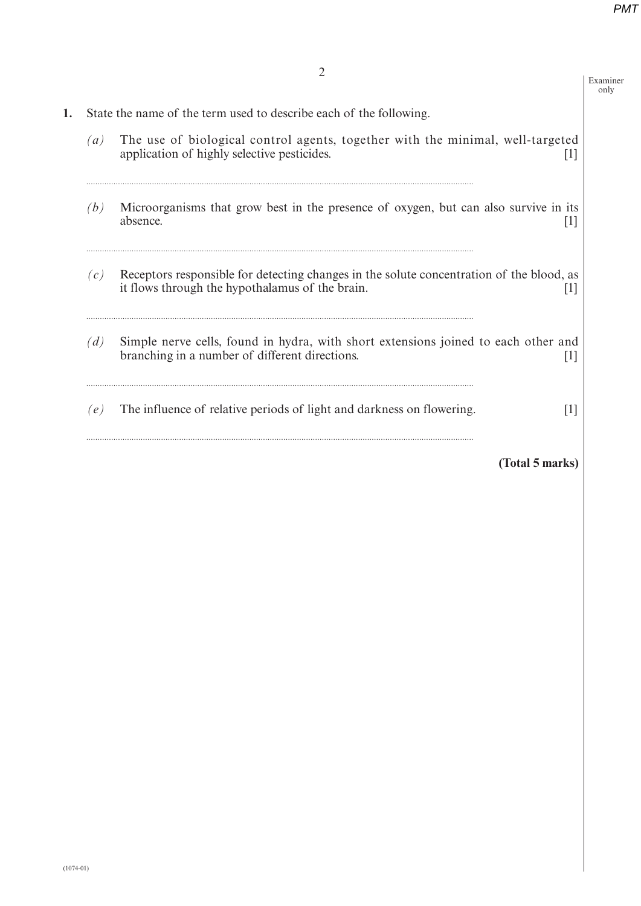Examiner only

- **1.** State the name of the term used to describe each of the following.
	- *(a)* The use of biological control agents, together with the minimal, well-targeted application of highly selective pesticides. [1]
	- *(b)* Microorganisms that grow best in the presence of oxygen, but can also survive in its absence. [1]

**. . . . . . . . . . . . . . . . . . . . . . . . . . . . . . . . . . . . . . . . . . . . . . . . . . . . . . . . . . . . . . . . . . . . . . . . . . . . . . . . . . . . . . . . . . . . . . . . . . . . . . . . . . . . . . . . . . . . . . . . . . . . . . . . . . . . . . . . . . . . . . . . . . . . . . . . . . . . . . . . . . . . . . . . . . .**

**. . . . . . . . . . . . . . . . . . . . . . . . . . . . . . . . . . . . . . . . . . . . . . . . . . . . . . . . . . . . . . . . . . . . . . . . . . . . . . . . . . . . . . . . . . . . . . . . . . . . . . . . . . . . . . . . . . . . . . . . . . . . . . . . . . . . . . . . . . . . . . . . . . . . . . . . . . . . . . . . . . . . . . . . . . .**

**. . . . . . . . . . . . . . . . . . . . . . . . . . . . . . . . . . . . . . . . . . . . . . . . . . . . . . . . . . . . . . . . . . . . . . . . . . . . . . . . . . . . . . . . . . . . . . . . . . . . . . . . . . . . . . . . . . . . . . . . . . . . . . . . . . . . . . . . . . . . . . . . . . . . . . . . . . . . . . . . . . . . . . . . . . .**

**. . . . . . . . . . . . . . . . . . . . . . . . . . . . . . . . . . . . . . . . . . . . . . . . . . . . . . . . . . . . . . . . . . . . . . . . . . . . . . . . . . . . . . . . . . . . . . . . . . . . . . . . . . . . . . . . . . . . . . . . . . . . . . . . . . . . . . . . . . . . . . . . . . . . . . . . . . . . . . . . . . . . . . . . . . .**

- *(c)* Receptors responsible for detecting changes in the solute concentration of the blood, as it flows through the hypothalamus of the brain. [1]
- *(d)* Simple nerve cells, found in hydra, with short extensions joined to each other and branching in a number of different directions. [1]
- *(e)* The influence of relative periods of light and darkness on flowering. [1]

**(Total 5 marks)**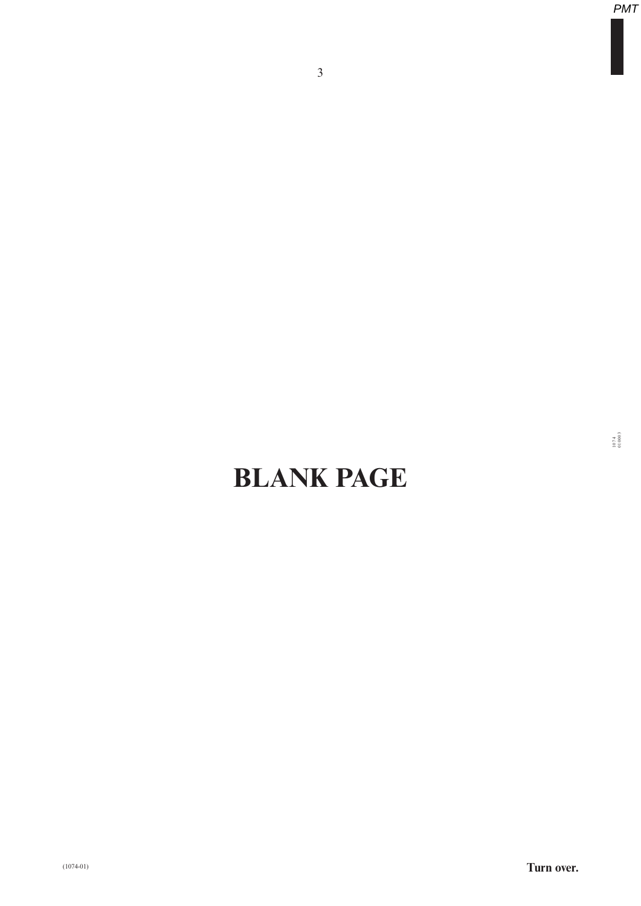# **BLANK PAGE**

3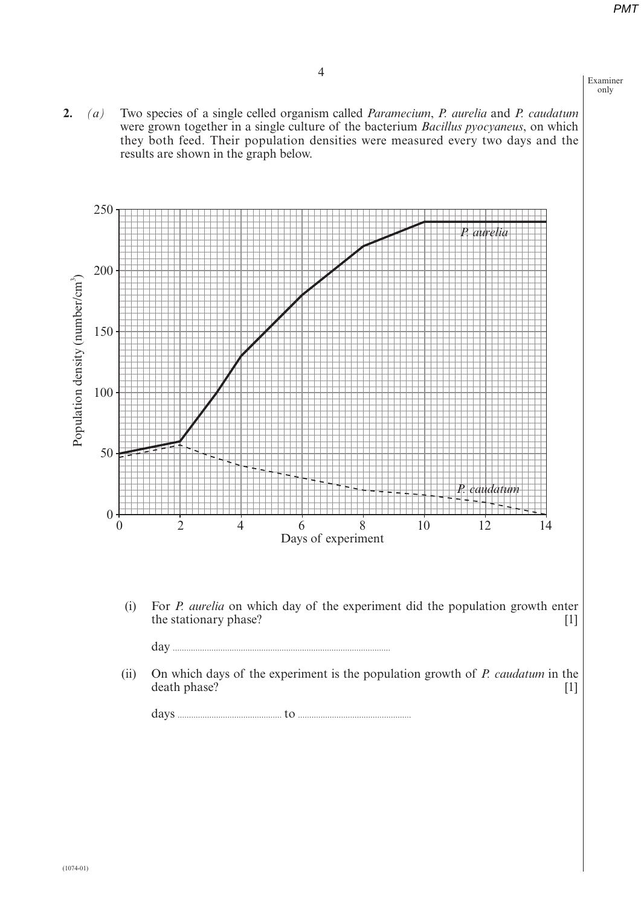Examiner only

**2.** *(a)* Two species of a single celled organism called *Paramecium*, *P. aurelia* and *P. caudatum* were grown together in a single culture of the bacterium *Bacillus pyocyaneus*, on which they both feed. Their population densities were measured every two days and the results are shown in the graph below.

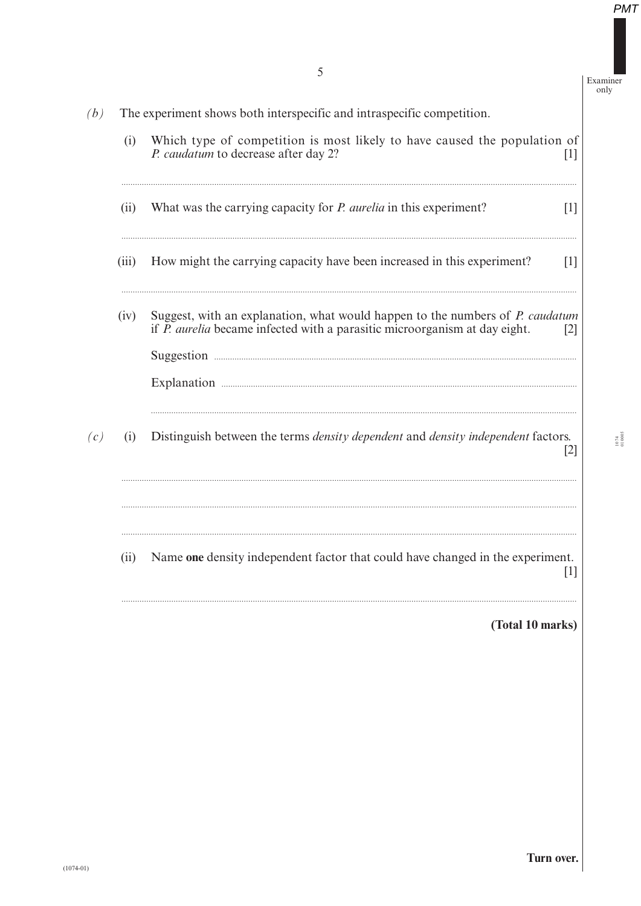Examiner<br>only

| (b) | The experiment shows both interspecific and intraspecific competition. |                                                                                                                                                                                                                                                          |  |  |  |  |
|-----|------------------------------------------------------------------------|----------------------------------------------------------------------------------------------------------------------------------------------------------------------------------------------------------------------------------------------------------|--|--|--|--|
|     | (i)                                                                    | Which type of competition is most likely to have caused the population of<br>P. caudatum to decrease after day 2?<br>$[1]$                                                                                                                               |  |  |  |  |
|     | (ii)                                                                   | What was the carrying capacity for <i>P. aurelia</i> in this experiment?<br>$[1]$                                                                                                                                                                        |  |  |  |  |
|     | (iii)                                                                  | How might the carrying capacity have been increased in this experiment?<br>$\lceil 1 \rceil$                                                                                                                                                             |  |  |  |  |
|     | (iv)                                                                   | Suggest, with an explanation, what would happen to the numbers of P. caudatum<br>if <i>P. aurelia</i> became infected with a parasitic microorganism at day eight.<br>$\lceil 2 \rceil$<br>Suggestion <b>Example 2018</b> Suggestion <b>Example 2018</b> |  |  |  |  |
| (c) | (i)                                                                    | Distinguish between the terms <i>density dependent</i> and <i>density independent</i> factors.<br>$[2]$                                                                                                                                                  |  |  |  |  |
|     | (ii)                                                                   | Name one density independent factor that could have changed in the experiment.<br>$[1]$                                                                                                                                                                  |  |  |  |  |

(Total 10 marks)

Turn over.

 $1074$ <br> $010005$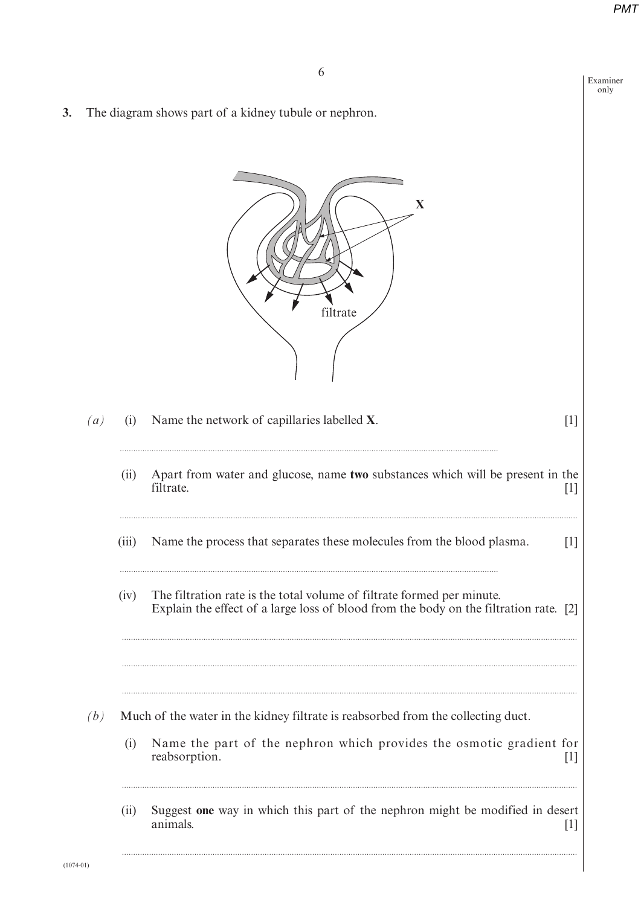Examiner only

The diagram shows part of a kidney tubule or nephron.  $3.$ 



 $(a)$ Name the network of capillaries labelled X.  $(i)$ 

 $[1]$ 

Apart from water and glucose, name two substances which will be present in the  $(ii)$ filtrate.  $[1]$ 

Name the process that separates these molecules from the blood plasma.  $(iii)$  $[1]$ 

The filtration rate is the total volume of filtrate formed per minute.  $(iv)$ Explain the effect of a large loss of blood from the body on the filtration rate.  $[2]$ 

 $(b)$ Much of the water in the kidney filtrate is reabsorbed from the collecting duct.

- Name the part of the nephron which provides the osmotic gradient for  $(i)$ reabsorption.  $\lceil 1 \rceil$
- Suggest one way in which this part of the nephron might be modified in desert  $(ii)$ animals.  $\lceil 1 \rceil$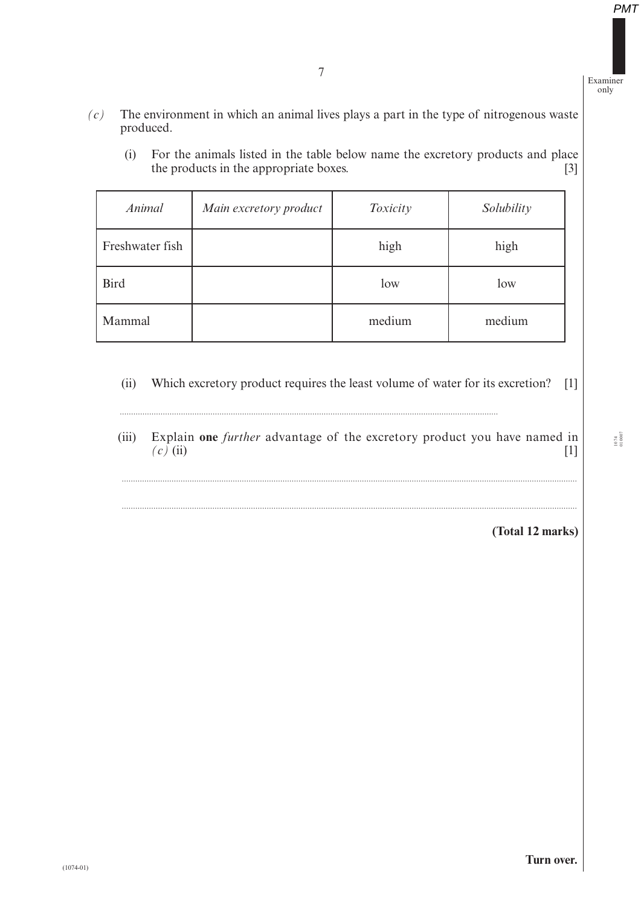Examiner only

- *(c)* The environment in which an animal lives plays a part in the type of nitrogenous waste produced.
	- (i) For the animals listed in the table below name the excretory products and place the products in the appropriate boxes. [3]

| Animal          | Main excretory product | <b>Toxicity</b> | Solubility |
|-----------------|------------------------|-----------------|------------|
| Freshwater fish |                        | high            | high       |
| <b>Bird</b>     |                        | low             | low        |
| Mammal          |                        | medium          | medium     |

- (ii) Which excretory product requires the least volume of water for its excretion? [1]
- (iii) Explain **one** *further* advantage of the excretory product you have named in  $(c)$  (ii) [1]

**. . . . . . . . . . . . . . . . . . . . . . . . . . . . . . . . . . . . . . . . . . . . . . . . . . . . . . . . . . . . . . . . . . . . . . . . . . . . . . . . . . . . . . . . . . . . . . . . . . . . . . . . . . . . . . . . . . . . . . . . . . . . . . . . . . . . . . . . . . . . . . . . . . . . . . . . . . . . . . . . . . . . . . . . . . . . . . . . . . . . . . . . . . . . . . . . . . . . . . . . .**

**. . . . . . . . . . . . . . . . . . . . . . . . . . . . . . . . . . . . . . . . . . . . . . . . . . . . . . . . . . . . . . . . . . . . . . . . . . . . . . . . . . . . . . . . . . . . . . . . . . . . . . . . . . . . . . . . . . . . . . . . . . . . . . . . . . . . . . . . . . . . . . . . . . . . . . . . . . . . . . . . . . . . . . . . . . . . . . . . . . . . . . . . . . . . . . . . . . . . . . . . .**

**(Total 12 marks)**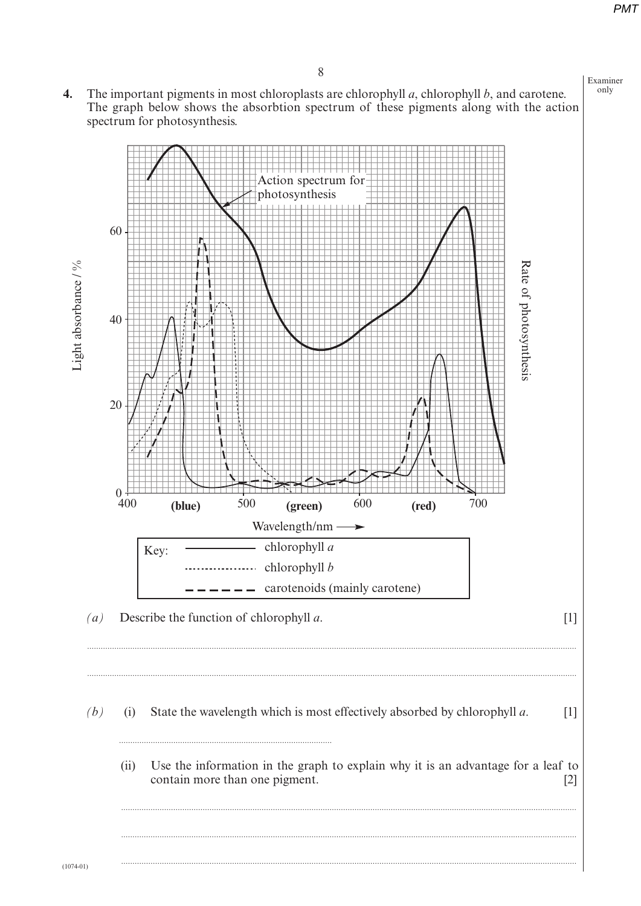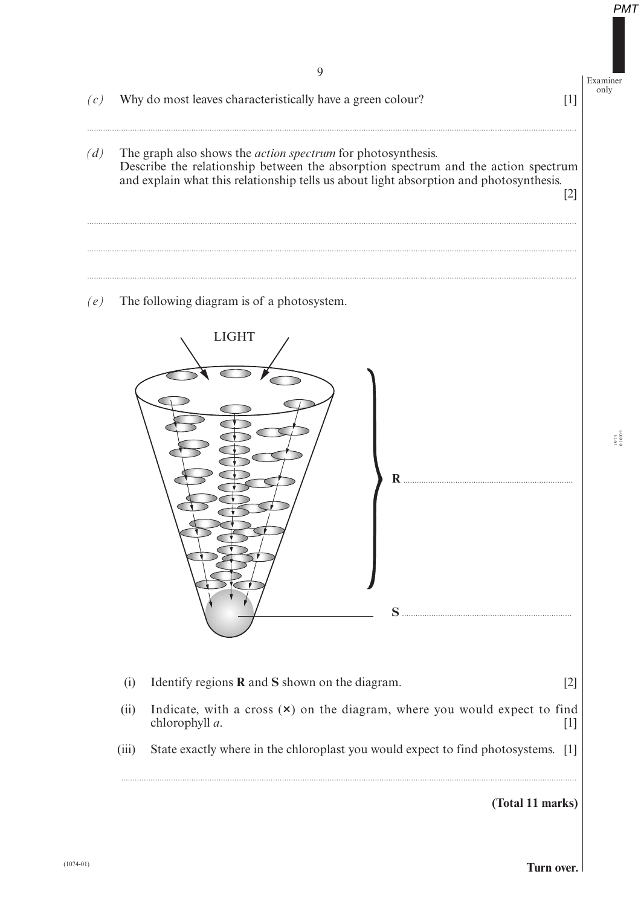

Turn over.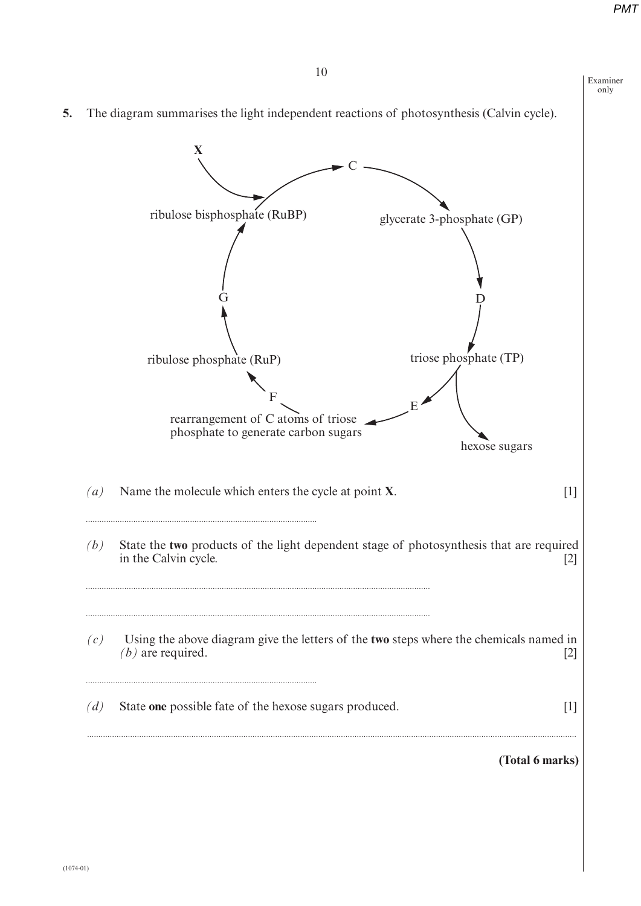

(1074-01)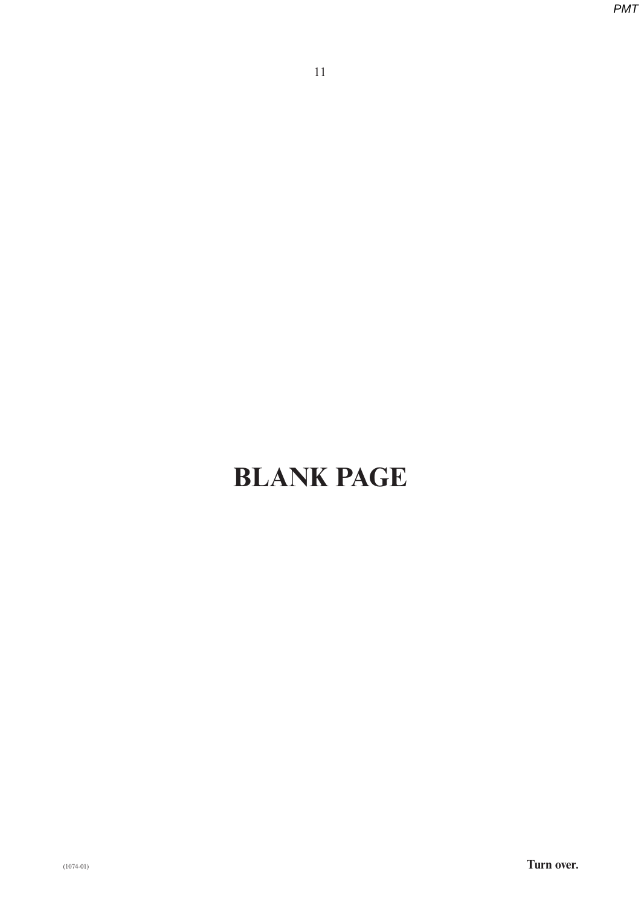## **BLANK PAGE**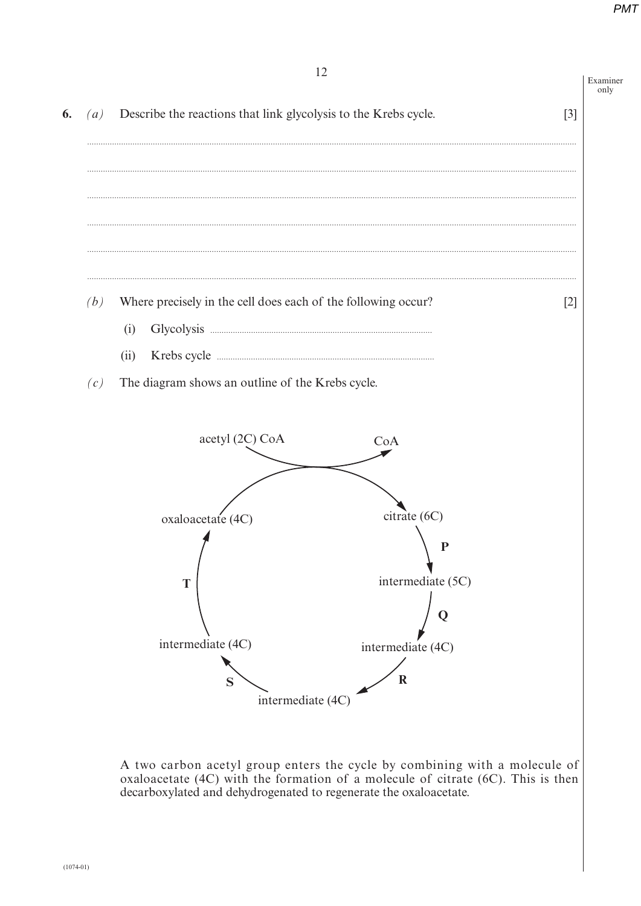

A two carbon acetyl group enters the cycle by combining with a molecule of oxaloacetate  $(4C)$  with the formation of a molecule of citrate  $(6C)$ . This is then decarboxylated and dehydrogenated to regenerate the oxaloacetate.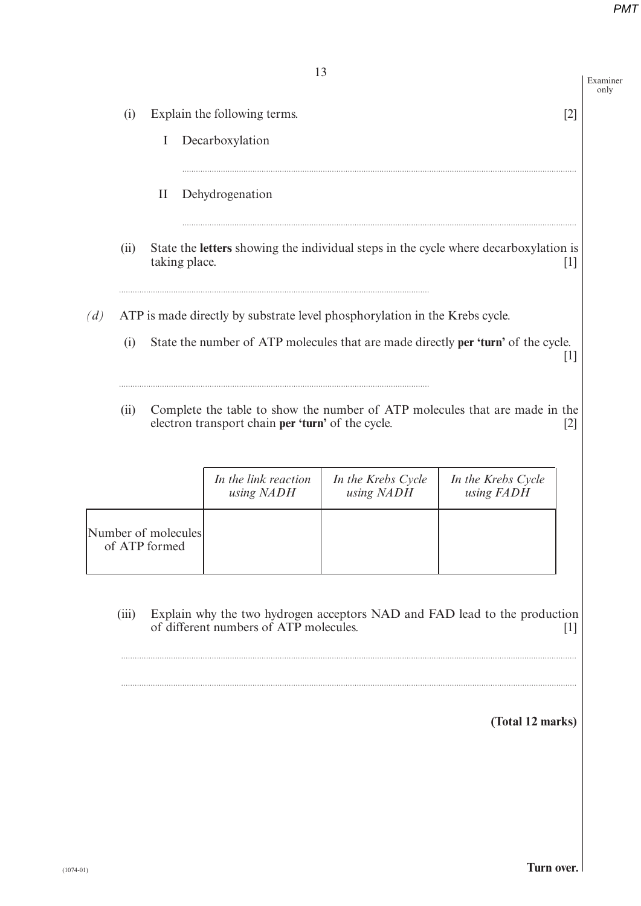|     |      | 19                                                                                                                                      | Examiner<br>only |
|-----|------|-----------------------------------------------------------------------------------------------------------------------------------------|------------------|
|     | (i)  | Explain the following terms.<br>$\lceil 2 \rceil$                                                                                       |                  |
|     |      | Decarboxylation<br>Ι.                                                                                                                   |                  |
|     |      | $_{\rm II}$<br>Dehydrogenation                                                                                                          |                  |
|     | (i)  | State the letters showing the individual steps in the cycle where decarboxylation is<br>taking place.<br>Ш                              |                  |
| (d) |      | ATP is made directly by substrate level phosphorylation in the Krebs cycle.                                                             |                  |
|     | (i)  | State the number of ATP molecules that are made directly per 'turn' of the cycle.<br>$\lceil 1 \rceil$                                  |                  |
|     | (ii) | Complete the table to show the number of ATP molecules that are made in the<br>electron transport chain per 'turn' of the cycle.<br>[2] |                  |

|                                      | In the link reaction | In the Krebs Cycle | In the Krebs Cycle |
|--------------------------------------|----------------------|--------------------|--------------------|
|                                      | using NADH           | using NADH         | using FADH         |
| Number of molecules<br>of ATP formed |                      |                    |                    |

(iii) Explain why the two hydrogen acceptors NAD and FAD lead to the production of different numbers of ATP molecules. [1]

**. . . . . . . . . . . . . . . . . . . . . . . . . . . . . . . . . . . . . . . . . . . . . . . . . . . . . . . . . . . . . . . . . . . . . . . . . . . . . . . . . . . . . . . . . . . . . . . . . . . . . . . . . . . . . . . . . . . . . . . . . . . . . . . . . . . . . . . . . . . . . . . . . . . . . . . . . . . . . . . . . . . . . . . . . . . . . . . . . . . . . . . . . . . . . . . . . . . . . . . . .**

**. . . . . . . . . . . . . . . . . . . . . . . . . . . . . . . . . . . . . . . . . . . . . . . . . . . . . . . . . . . . . . . . . . . . . . . . . . . . . . . . . . . . . . . . . . . . . . . . . . . . . . . . . . . . . . . . . . . . . . . . . . . . . . . . . . . . . . . . . . . . . . . . . . . . . . . . . . . . . . . . . . . . . . . . . . . . . . . . . . . . . . . . . . . . . . . . . . . . . . . . .**

**(Total 12 marks)**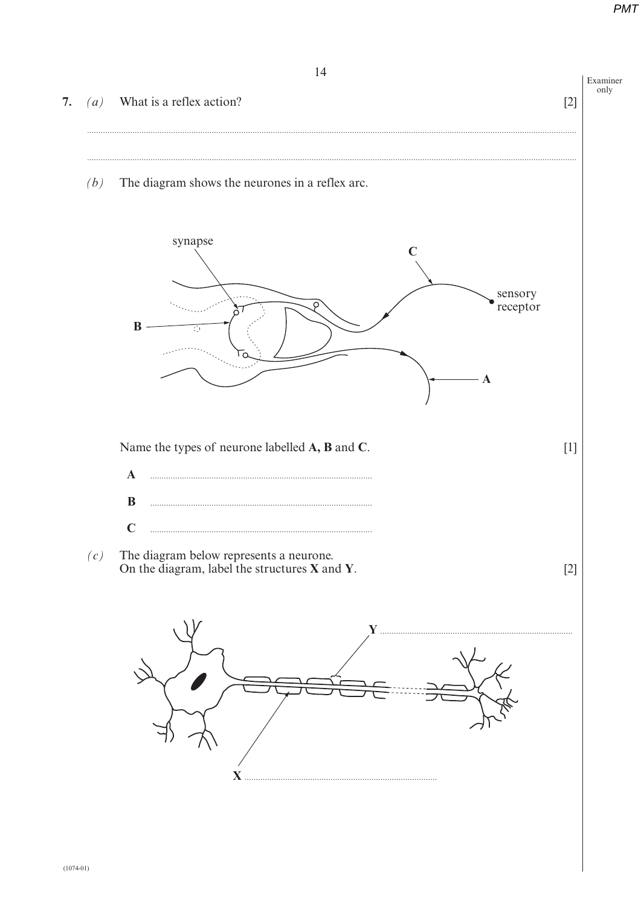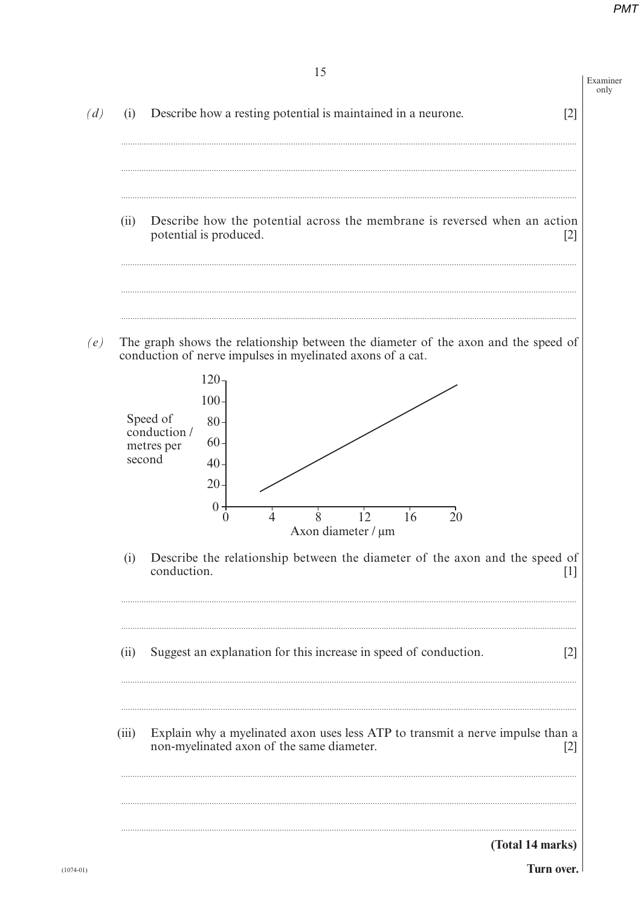

Turn over.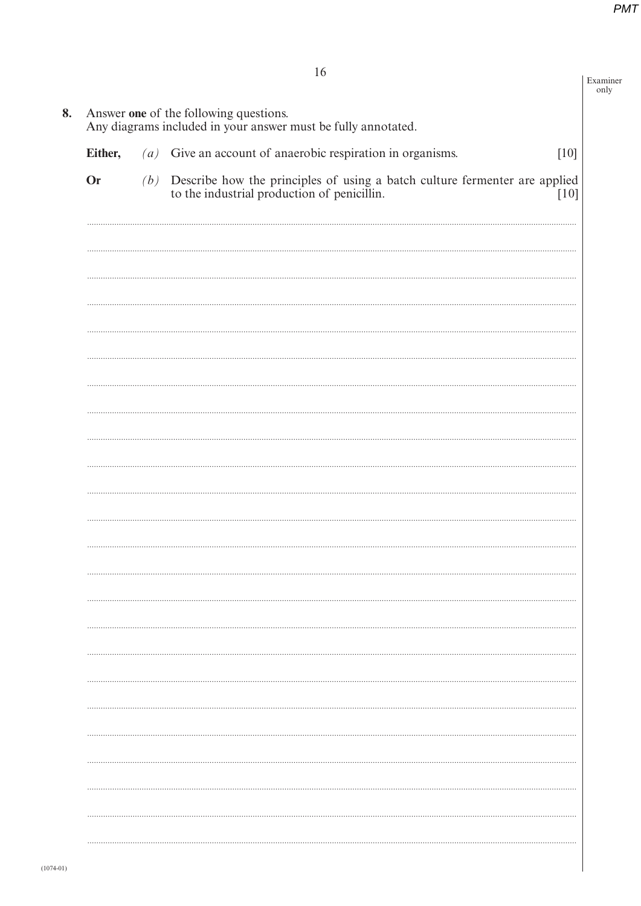|           | 16                                                                                                                                      |
|-----------|-----------------------------------------------------------------------------------------------------------------------------------------|
|           |                                                                                                                                         |
|           | Answer one of the following questions.<br>Any diagrams included in your answer must be fully annotated.                                 |
| Either,   | $(a)$ Give an account of anaerobic respiration in organisms.<br>[10]                                                                    |
| <b>Or</b> | $(b)$ Describe how the principles of using a batch culture fermenter are applied<br>to the industrial production of penicillin.<br>[10] |
|           |                                                                                                                                         |
|           |                                                                                                                                         |
|           |                                                                                                                                         |
|           |                                                                                                                                         |
|           |                                                                                                                                         |
|           |                                                                                                                                         |
|           |                                                                                                                                         |
|           |                                                                                                                                         |
|           |                                                                                                                                         |
|           |                                                                                                                                         |
|           |                                                                                                                                         |
|           |                                                                                                                                         |
|           |                                                                                                                                         |
|           |                                                                                                                                         |
|           |                                                                                                                                         |
|           |                                                                                                                                         |
|           |                                                                                                                                         |
|           |                                                                                                                                         |
|           |                                                                                                                                         |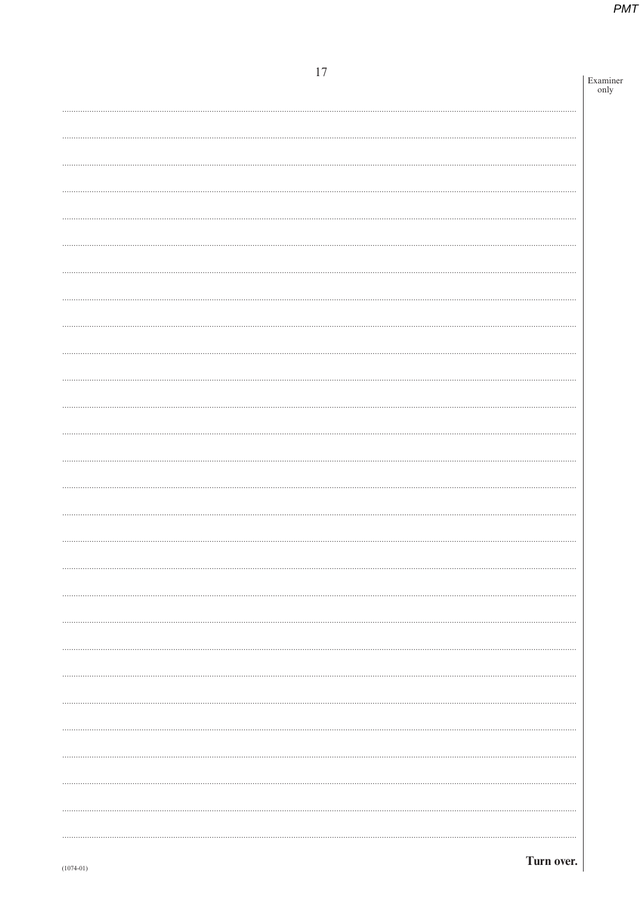| 17 |                  |
|----|------------------|
|    | Examiner<br>only |
|    |                  |
|    |                  |
|    |                  |
|    |                  |
|    |                  |
|    |                  |
|    |                  |
|    |                  |
|    |                  |
|    |                  |
|    |                  |
|    |                  |
|    |                  |
|    |                  |
|    |                  |
|    |                  |
|    |                  |
|    |                  |
|    |                  |
|    |                  |
|    |                  |
|    |                  |
|    |                  |
|    |                  |
|    |                  |
|    |                  |
|    |                  |
|    |                  |
|    |                  |
|    |                  |
|    |                  |
|    |                  |
|    |                  |
|    |                  |
|    |                  |
|    |                  |
|    |                  |